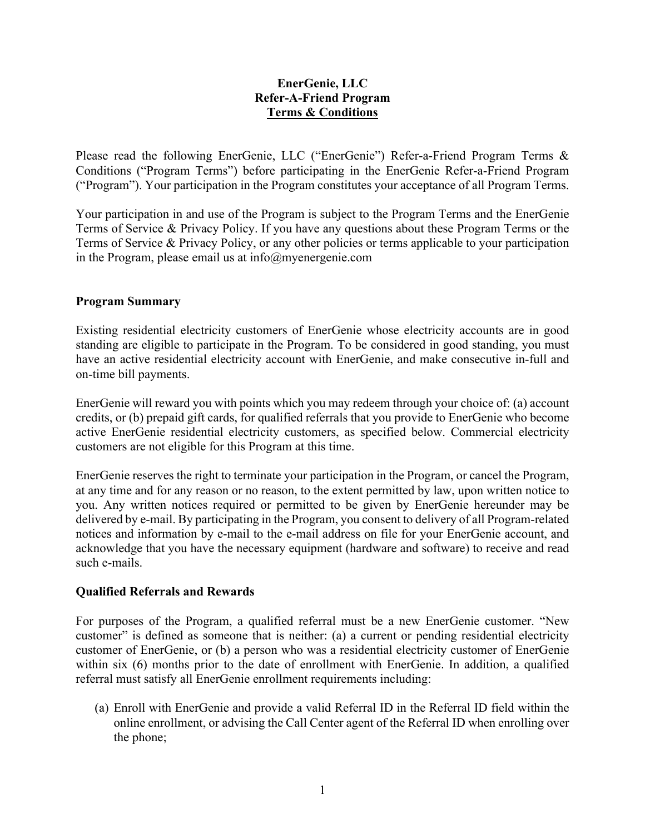# **EnerGenie, LLC Refer-A-Friend Program Terms & Conditions**

Please read the following EnerGenie, LLC ("EnerGenie") Refer-a-Friend Program Terms & Conditions ("Program Terms") before participating in the EnerGenie Refer-a-Friend Program ("Program"). Your participation in the Program constitutes your acceptance of all Program Terms.

Your participation in and use of the Program is subject to the Program Terms and the EnerGenie Terms of Service & Privacy Policy. If you have any questions about these Program Terms or the Terms of Service & Privacy Policy, or any other policies or terms applicable to your participation in the Program, please email us at  $info@$ myenergenie.com

#### **Program Summary**

Existing residential electricity customers of EnerGenie whose electricity accounts are in good standing are eligible to participate in the Program. To be considered in good standing, you must have an active residential electricity account with EnerGenie, and make consecutive in-full and on-time bill payments.

EnerGenie will reward you with points which you may redeem through your choice of: (a) account credits, or (b) prepaid gift cards, for qualified referrals that you provide to EnerGenie who become active EnerGenie residential electricity customers, as specified below. Commercial electricity customers are not eligible for this Program at this time.

EnerGenie reserves the right to terminate your participation in the Program, or cancel the Program, at any time and for any reason or no reason, to the extent permitted by law, upon written notice to you. Any written notices required or permitted to be given by EnerGenie hereunder may be delivered by e-mail. By participating in the Program, you consent to delivery of all Program-related notices and information by e-mail to the e-mail address on file for your EnerGenie account, and acknowledge that you have the necessary equipment (hardware and software) to receive and read such e-mails.

# **Qualified Referrals and Rewards**

For purposes of the Program, a qualified referral must be a new EnerGenie customer. "New customer" is defined as someone that is neither: (a) a current or pending residential electricity customer of EnerGenie, or (b) a person who was a residential electricity customer of EnerGenie within six (6) months prior to the date of enrollment with EnerGenie. In addition, a qualified referral must satisfy all EnerGenie enrollment requirements including:

(a) Enroll with EnerGenie and provide a valid Referral ID in the Referral ID field within the online enrollment, or advising the Call Center agent of the Referral ID when enrolling over the phone;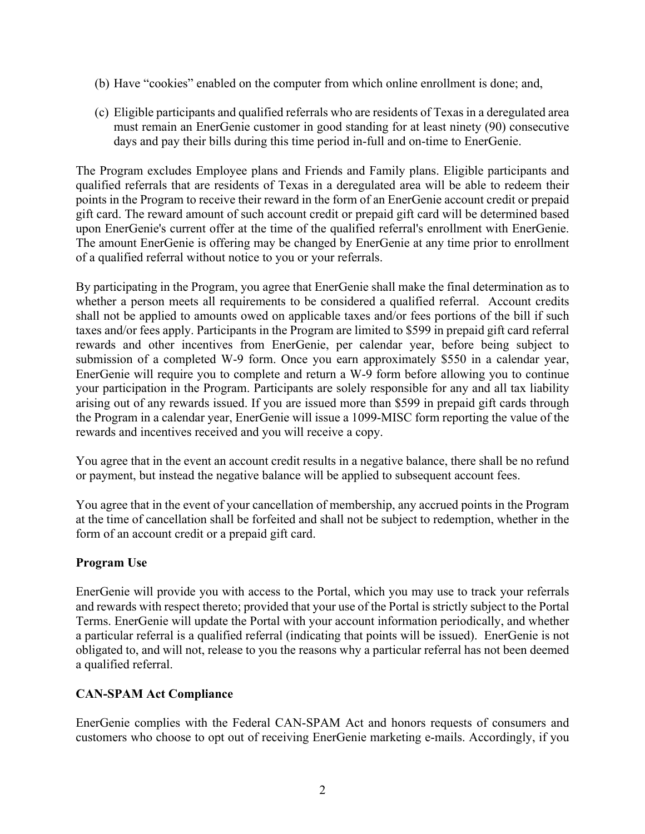- (b) Have "cookies" enabled on the computer from which online enrollment is done; and,
- (c) Eligible participants and qualified referrals who are residents of Texas in a deregulated area must remain an EnerGenie customer in good standing for at least ninety (90) consecutive days and pay their bills during this time period in-full and on-time to EnerGenie.

The Program excludes Employee plans and Friends and Family plans. Eligible participants and qualified referrals that are residents of Texas in a deregulated area will be able to redeem their points in the Program to receive their reward in the form of an EnerGenie account credit or prepaid gift card. The reward amount of such account credit or prepaid gift card will be determined based upon EnerGenie's current offer at the time of the qualified referral's enrollment with EnerGenie. The amount EnerGenie is offering may be changed by EnerGenie at any time prior to enrollment of a qualified referral without notice to you or your referrals.

By participating in the Program, you agree that EnerGenie shall make the final determination as to whether a person meets all requirements to be considered a qualified referral. Account credits shall not be applied to amounts owed on applicable taxes and/or fees portions of the bill if such taxes and/or fees apply. Participants in the Program are limited to \$599 in prepaid gift card referral rewards and other incentives from EnerGenie, per calendar year, before being subject to submission of a completed W-9 form. Once you earn approximately \$550 in a calendar year, EnerGenie will require you to complete and return a W-9 form before allowing you to continue your participation in the Program. Participants are solely responsible for any and all tax liability arising out of any rewards issued. If you are issued more than \$599 in prepaid gift cards through the Program in a calendar year, EnerGenie will issue a 1099-MISC form reporting the value of the rewards and incentives received and you will receive a copy.

You agree that in the event an account credit results in a negative balance, there shall be no refund or payment, but instead the negative balance will be applied to subsequent account fees.

You agree that in the event of your cancellation of membership, any accrued points in the Program at the time of cancellation shall be forfeited and shall not be subject to redemption, whether in the form of an account credit or a prepaid gift card.

# **Program Use**

EnerGenie will provide you with access to the Portal, which you may use to track your referrals and rewards with respect thereto; provided that your use of the Portal is strictly subject to the Portal Terms. EnerGenie will update the Portal with your account information periodically, and whether a particular referral is a qualified referral (indicating that points will be issued). EnerGenie is not obligated to, and will not, release to you the reasons why a particular referral has not been deemed a qualified referral.

# **CAN-SPAM Act Compliance**

EnerGenie complies with the Federal CAN-SPAM Act and honors requests of consumers and customers who choose to opt out of receiving EnerGenie marketing e-mails. Accordingly, if you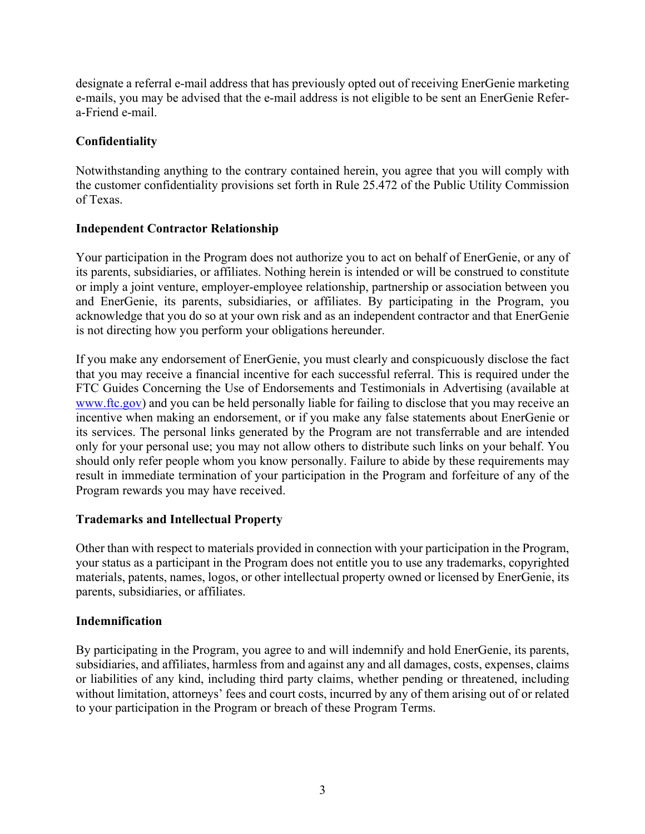designate a referral e-mail address that has previously opted out of receiving EnerGenie marketing e-mails, you may be advised that the e-mail address is not eligible to be sent an EnerGenie Refera-Friend e-mail.

# **Confidentiality**

Notwithstanding anything to the contrary contained herein, you agree that you will comply with the customer confidentiality provisions set forth in Rule 25.472 of the Public Utility Commission of Texas.

# **Independent Contractor Relationship**

Your participation in the Program does not authorize you to act on behalf of EnerGenie, or any of its parents, subsidiaries, or affiliates. Nothing herein is intended or will be construed to constitute or imply a joint venture, employer-employee relationship, partnership or association between you and EnerGenie, its parents, subsidiaries, or affiliates. By participating in the Program, you acknowledge that you do so at your own risk and as an independent contractor and that EnerGenie is not directing how you perform your obligations hereunder.

If you make any endorsement of EnerGenie, you must clearly and conspicuously disclose the fact that you may receive a financial incentive for each successful referral. This is required under the FTC Guides Concerning the Use of Endorsements and Testimonials in Advertising (available at www.ftc.gov) and you can be held personally liable for failing to disclose that you may receive an incentive when making an endorsement, or if you make any false statements about EnerGenie or its services. The personal links generated by the Program are not transferrable and are intended only for your personal use; you may not allow others to distribute such links on your behalf. You should only refer people whom you know personally. Failure to abide by these requirements may result in immediate termination of your participation in the Program and forfeiture of any of the Program rewards you may have received.

# **Trademarks and Intellectual Property**

Other than with respect to materials provided in connection with your participation in the Program, your status as a participant in the Program does not entitle you to use any trademarks, copyrighted materials, patents, names, logos, or other intellectual property owned or licensed by EnerGenie, its parents, subsidiaries, or affiliates.

# **Indemnification**

By participating in the Program, you agree to and will indemnify and hold EnerGenie, its parents, subsidiaries, and affiliates, harmless from and against any and all damages, costs, expenses, claims or liabilities of any kind, including third party claims, whether pending or threatened, including without limitation, attorneys' fees and court costs, incurred by any of them arising out of or related to your participation in the Program or breach of these Program Terms.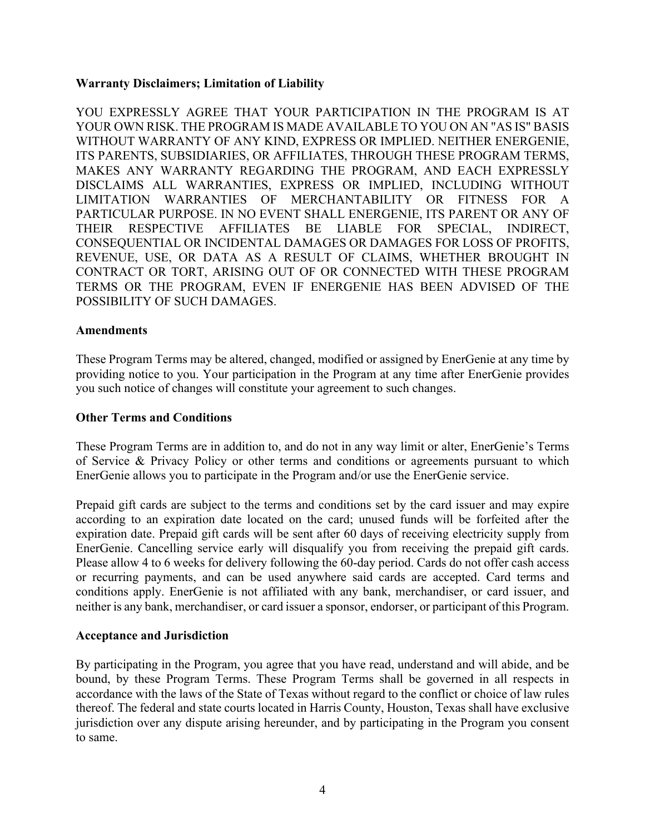#### **Warranty Disclaimers; Limitation of Liability**

YOU EXPRESSLY AGREE THAT YOUR PARTICIPATION IN THE PROGRAM IS AT YOUR OWN RISK. THE PROGRAM IS MADE AVAILABLE TO YOU ON AN "AS IS" BASIS WITHOUT WARRANTY OF ANY KIND, EXPRESS OR IMPLIED. NEITHER ENERGENIE, ITS PARENTS, SUBSIDIARIES, OR AFFILIATES, THROUGH THESE PROGRAM TERMS, MAKES ANY WARRANTY REGARDING THE PROGRAM, AND EACH EXPRESSLY DISCLAIMS ALL WARRANTIES, EXPRESS OR IMPLIED, INCLUDING WITHOUT LIMITATION WARRANTIES OF MERCHANTABILITY OR FITNESS FOR A PARTICULAR PURPOSE. IN NO EVENT SHALL ENERGENIE, ITS PARENT OR ANY OF THEIR RESPECTIVE AFFILIATES BE LIABLE FOR SPECIAL, INDIRECT, CONSEQUENTIAL OR INCIDENTAL DAMAGES OR DAMAGES FOR LOSS OF PROFITS, REVENUE, USE, OR DATA AS A RESULT OF CLAIMS, WHETHER BROUGHT IN CONTRACT OR TORT, ARISING OUT OF OR CONNECTED WITH THESE PROGRAM TERMS OR THE PROGRAM, EVEN IF ENERGENIE HAS BEEN ADVISED OF THE POSSIBILITY OF SUCH DAMAGES.

#### **Amendments**

These Program Terms may be altered, changed, modified or assigned by EnerGenie at any time by providing notice to you. Your participation in the Program at any time after EnerGenie provides you such notice of changes will constitute your agreement to such changes.

#### **Other Terms and Conditions**

These Program Terms are in addition to, and do not in any way limit or alter, EnerGenie's Terms of Service & Privacy Policy or other terms and conditions or agreements pursuant to which EnerGenie allows you to participate in the Program and/or use the EnerGenie service.

Prepaid gift cards are subject to the terms and conditions set by the card issuer and may expire according to an expiration date located on the card; unused funds will be forfeited after the expiration date. Prepaid gift cards will be sent after 60 days of receiving electricity supply from EnerGenie. Cancelling service early will disqualify you from receiving the prepaid gift cards. Please allow 4 to 6 weeks for delivery following the 60-day period. Cards do not offer cash access or recurring payments, and can be used anywhere said cards are accepted. Card terms and conditions apply. EnerGenie is not affiliated with any bank, merchandiser, or card issuer, and neither is any bank, merchandiser, or card issuer a sponsor, endorser, or participant of this Program.

#### **Acceptance and Jurisdiction**

By participating in the Program, you agree that you have read, understand and will abide, and be bound, by these Program Terms. These Program Terms shall be governed in all respects in accordance with the laws of the State of Texas without regard to the conflict or choice of law rules thereof. The federal and state courts located in Harris County, Houston, Texas shall have exclusive jurisdiction over any dispute arising hereunder, and by participating in the Program you consent to same.